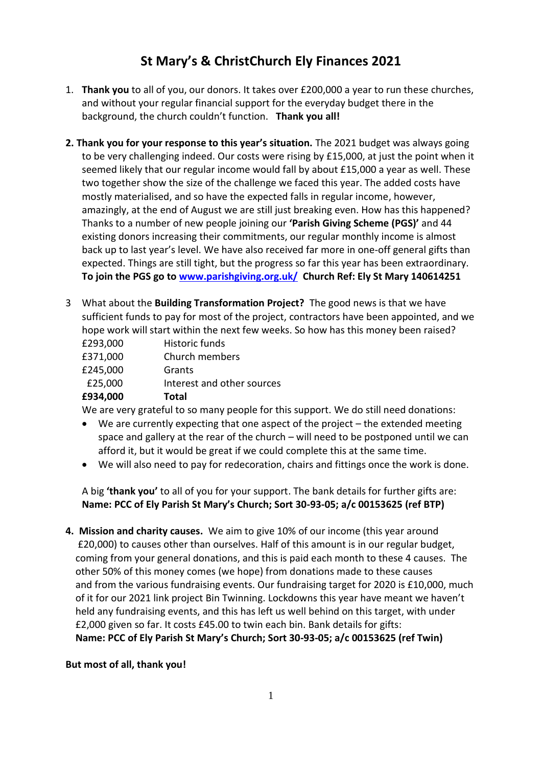## **St Mary's & ChristChurch Ely Finances 2021**

- 1. **Thank you** to all of you, our donors. It takes over £200,000 a year to run these churches, and without your regular financial support for the everyday budget there in the background, the church couldn't function. **Thank you all!**
- **2. Thank you for your response to this year's situation.** The 2021 budget was always going to be very challenging indeed. Our costs were rising by £15,000, at just the point when it seemed likely that our regular income would fall by about £15,000 a year as well. These two together show the size of the challenge we faced this year. The added costs have mostly materialised, and so have the expected falls in regular income, however, amazingly, at the end of August we are still just breaking even. How has this happened? Thanks to a number of new people joining our **'Parish Giving Scheme (PGS)'** and 44 existing donors increasing their commitments, our regular monthly income is almost back up to last year's level. We have also received far more in one-off general gifts than expected. Things are still tight, but the progress so far this year has been extraordinary. **To join the PGS go to [www.parishgiving.org.uk/](http://www.parishgiving.org.uk/) Church Ref: Ely St Mary 140614251**
- 3 What about the **Building Transformation Project?** The good news is that we have sufficient funds to pay for most of the project, contractors have been appointed, and we hope work will start within the next few weeks. So how has this money been raised?
	- £293,000 Historic funds £371,000 Church members £245,000 Grants £25,000 Interest and other sources **£934,000 Total**

We are very grateful to so many people for this support. We do still need donations:

- We are currently expecting that one aspect of the project the extended meeting space and gallery at the rear of the church – will need to be postponed until we can afford it, but it would be great if we could complete this at the same time.
- We will also need to pay for redecoration, chairs and fittings once the work is done.

A big **'thank you'** to all of you for your support. The bank details for further gifts are: **Name: PCC of Ely Parish St Mary's Church; Sort 30-93-05; a/c 00153625 (ref BTP)**

**4. Mission and charity causes.** We aim to give 10% of our income (this year around £20,000) to causes other than ourselves. Half of this amount is in our regular budget, coming from your general donations, and this is paid each month to these 4 causes. The other 50% of this money comes (we hope) from donations made to these causes and from the various fundraising events. Our fundraising target for 2020 is £10,000, much of it for our 2021 link project Bin Twinning. Lockdowns this year have meant we haven't held any fundraising events, and this has left us well behind on this target, with under £2,000 given so far. It costs £45.00 to twin each bin. Bank details for gifts:  **Name: PCC of Ely Parish St Mary's Church; Sort 30-93-05; a/c 00153625 (ref Twin)**

## **But most of all, thank you!**